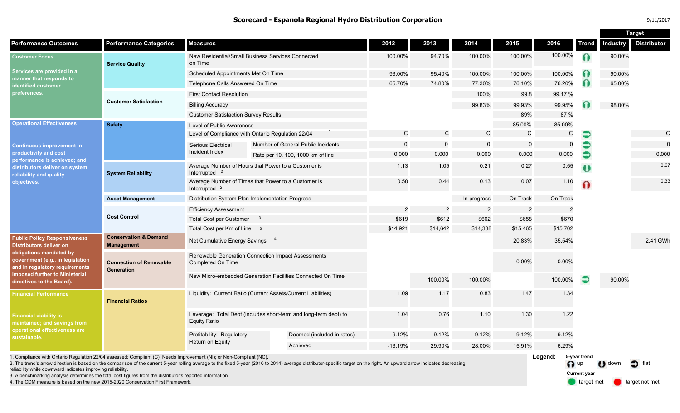**Scorecard - Espanola Regional Hydro Distribution Corporation** *Scorecard - Espanola Regional Hydro Distribution Corporation* 

|                                                                                                                                                                                                                                       |                                                       |                                                                                  |  |                                    |                |                |                |                |                |          |                 | <b>Target</b>      |
|---------------------------------------------------------------------------------------------------------------------------------------------------------------------------------------------------------------------------------------|-------------------------------------------------------|----------------------------------------------------------------------------------|--|------------------------------------|----------------|----------------|----------------|----------------|----------------|----------|-----------------|--------------------|
| <b>Performance Outcomes</b>                                                                                                                                                                                                           | <b>Performance Categories</b>                         | <b>Measures</b>                                                                  |  |                                    | 2012           | 2013           | 2014           | 2015           | 2016           | Trend    | <b>Industry</b> | <b>Distributor</b> |
| <b>Customer Focus</b><br>Services are provided in a<br>manner that responds to<br><b>identified customer</b><br>preferences.                                                                                                          | <b>Service Quality</b>                                | New Residential/Small Business Services Connected<br>on Time                     |  |                                    | 100.00%        | 94.70%         | 100.00%        | 100.00%        | 100.00%        |          | 90.00%          |                    |
|                                                                                                                                                                                                                                       |                                                       | Scheduled Appointments Met On Time                                               |  |                                    | 93.00%         | 95.40%         | 100.00%        | 100.00%        | 100.00%        |          | 90.00%          |                    |
|                                                                                                                                                                                                                                       |                                                       | Telephone Calls Answered On Time                                                 |  |                                    | 65.70%         | 74.80%         | 77.30%         | 76.10%         | 76.20%         | $\Omega$ | 65.00%          |                    |
|                                                                                                                                                                                                                                       | <b>Customer Satisfaction</b>                          | <b>First Contact Resolution</b>                                                  |  |                                    |                |                | 100%           | 99.8           | 99.17 %        |          |                 |                    |
|                                                                                                                                                                                                                                       |                                                       | <b>Billing Accuracy</b>                                                          |  |                                    |                |                | 99.83%         | 99.93%         | 99.95%         |          | 98.00%          |                    |
|                                                                                                                                                                                                                                       |                                                       | <b>Customer Satisfaction Survey Results</b>                                      |  |                                    |                |                |                | 89%            | 87 %           |          |                 |                    |
| <b>Operational Effectiveness</b><br><b>Continuous improvement in</b><br>productivity and cost<br>performance is achieved; and<br>distributors deliver on system<br>reliability and quality<br>objectives.                             | <b>Safety</b>                                         | Level of Public Awareness                                                        |  |                                    |                |                |                | 85.00%         | 85.00%         |          |                 |                    |
|                                                                                                                                                                                                                                       |                                                       | Level of Compliance with Ontario Regulation 22/04                                |  |                                    | C              | $\mathsf{C}$   | С              | $\mathsf{C}$   | C              | €        |                 | C                  |
|                                                                                                                                                                                                                                       |                                                       | Serious Electrical<br>Incident Index                                             |  | Number of General Public Incidents | $\Omega$       | $\overline{0}$ | 0              | $\overline{0}$ | $\mathbf 0$    | €        |                 | $\Omega$           |
|                                                                                                                                                                                                                                       |                                                       |                                                                                  |  | Rate per 10, 100, 1000 km of line  | 0.000          | 0.000          | 0.000          | 0.000          | 0.000          | €        |                 | 0.000              |
|                                                                                                                                                                                                                                       | <b>System Reliability</b>                             | Average Number of Hours that Power to a Customer is<br>Interrupted $2$           |  |                                    | 1.13           | 1.05           | 0.21           | 0.27           | 0.55           | U        |                 | 0.67               |
|                                                                                                                                                                                                                                       |                                                       | Average Number of Times that Power to a Customer is<br>Interrupted $2$           |  |                                    | 0.50           | 0.44           | 0.13           | 0.07           | 1.10           |          |                 | 0.33               |
|                                                                                                                                                                                                                                       | <b>Asset Management</b>                               | Distribution System Plan Implementation Progress                                 |  |                                    |                |                | In progress    | On Track       | On Track       |          |                 |                    |
|                                                                                                                                                                                                                                       | <b>Cost Control</b>                                   | <b>Efficiency Assessment</b>                                                     |  |                                    | $\overline{2}$ | $\overline{2}$ | $\overline{2}$ | $\overline{2}$ | $\overline{2}$ |          |                 |                    |
|                                                                                                                                                                                                                                       |                                                       | <b>Total Cost per Customer</b><br>$\overline{\mathbf{3}}$                        |  |                                    | \$619          | \$612          | \$602          | \$658          | \$670          |          |                 |                    |
|                                                                                                                                                                                                                                       |                                                       | Total Cost per Km of Line 3                                                      |  |                                    | \$14,921       | \$14,642       | \$14,388       | \$15,465       | \$15,702       |          |                 |                    |
| <b>Public Policy Responsiveness</b><br><b>Distributors deliver on</b><br>obligations mandated by<br>government (e.g., in legislation<br>and in regulatory requirements<br>imposed further to Ministerial<br>directives to the Board). | <b>Conservation &amp; Demand</b><br><b>Management</b> | Net Cumulative Energy Savings <sup>4</sup>                                       |  |                                    |                |                |                | 20.83%         | 35.54%         |          |                 | 2.41 GWh           |
|                                                                                                                                                                                                                                       | <b>Connection of Renewable</b><br><b>Generation</b>   | Renewable Generation Connection Impact Assessments<br>Completed On Time          |  |                                    |                |                |                | 0.00%          | 0.00%          |          |                 |                    |
|                                                                                                                                                                                                                                       |                                                       | New Micro-embedded Generation Facilities Connected On Time                       |  |                                    |                | 100.00%        | 100.00%        |                | 100.00%        |          | 90.00%          |                    |
| <b>Financial Performance</b>                                                                                                                                                                                                          | <b>Financial Ratios</b>                               | Liquidity: Current Ratio (Current Assets/Current Liabilities)                    |  |                                    | 1.09           | 1.17           | 0.83           | 1.47           | 1.34           |          |                 |                    |
| <b>Financial viability is</b><br>maintained; and savings from<br>operational effectiveness are<br>sustainable.                                                                                                                        |                                                       | Leverage: Total Debt (includes short-term and long-term debt) to<br>Equity Ratio |  |                                    | 1.04           | 0.76           | 1.10           | 1.30           | 1.22           |          |                 |                    |
|                                                                                                                                                                                                                                       |                                                       | Profitability: Regulatory<br>Return on Equity                                    |  | Deemed (included in rates)         | 9.12%          | 9.12%          | 9.12%          | 9.12%          | 9.12%          |          |                 |                    |
|                                                                                                                                                                                                                                       |                                                       |                                                                                  |  | Achieved                           | $-13.19%$      | 29.90%         | 28.00%         | 15.91%         | 6.29%          |          |                 |                    |
|                                                                                                                                                                                                                                       |                                                       |                                                                                  |  |                                    |                |                |                |                |                |          |                 |                    |

1. Compliance with Ontario Regulation 22/04 assessed: Compliant (C); Needs Improvement (NI); or Non-Compliant (NC).

2. The trend's arrow direction is based on the comparison of the current 5-year rolling average to the fixed 5-year (2010 to 2014) average distributor-specific target on the right. An upward arrow indicates decreasing reliability while downward indicates improving reliability.

3. A benchmarking analysis determines the total cost figures from the distributor's reported information.

4. The CDM measure is based on the new 2015-2020 Conservation First Framework.

**Legend: 5-year trend**  n up U down of flat **Current year** 

target met **target not met**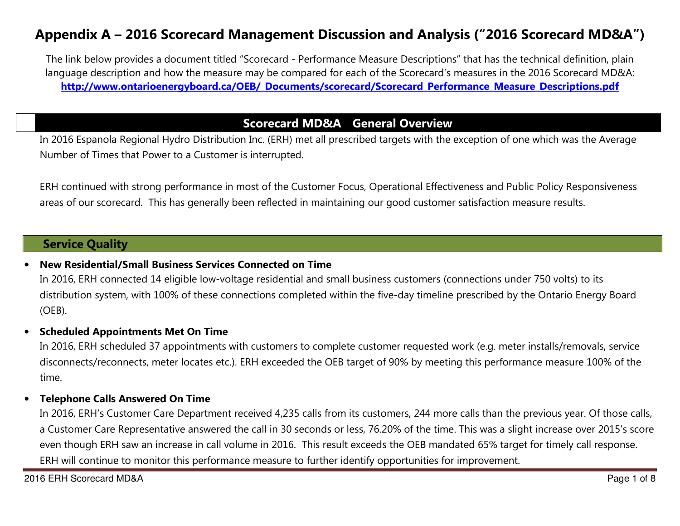# Appendix A – 2016 Scorecard Management Discussion and Analysis ("2016 Scorecard MD&A")

The link below provides a document titled "Scorecard - Performance Measure Descriptions" that has the technical definition, plain language description and how the measure may be compared for each of the Scorecard's measures in the 2016 Scorecard MD&A: http://www.ontarioenergyboard.ca/OEB/\_Documents/scorecard/Scorecard\_Performance\_Measure\_Descriptions.pdf

### Scorecard MD&A General Overview -

In 2016 Espanola Regional Hydro Distribution Inc. (ERH) met all prescribed targets with the exception of one which was the Average Number of Times that Power to a Customer is interrupted.

ERH continued with strong performance in most of the Customer Focus, Operational Effectiveness and Public Policy Responsiveness areas of our scorecard. This has generally been reflected in maintaining our good customer satisfaction measure results.

### Service Quality

#### •New Residential/Small Business Services Connected on Time

In 2016, ERH connected 14 eligible low-voltage residential and small business customers (connections under 750 volts) to its distribution system, with 100% of these connections completed within the five-day timeline prescribed by the Ontario Energy Board (OEB).

#### •Scheduled Appointments Met On Time

In 2016, ERH scheduled 37 appointments with customers to complete customer requested work (e.g. meter installs/removals, service disconnects/reconnects, meter locates etc.). ERH exceeded the OEB target of 90% by meeting this performance measure 100% of the time.

#### •Telephone Calls Answered On Time

In 2016, ERH's Customer Care Department received 4,235 calls from its customers, 244 more calls than the previous year. Of those calls, a Customer Care Representative answered the call in 30 seconds or less, 76.20% of the time. This was a slight increase over 2015's score even though ERH saw an increase in call volume in 2016. This result exceeds the OEB mandated 65% target for timely call response. ERH will continue to monitor this performance measure to further identify opportunities for improvement.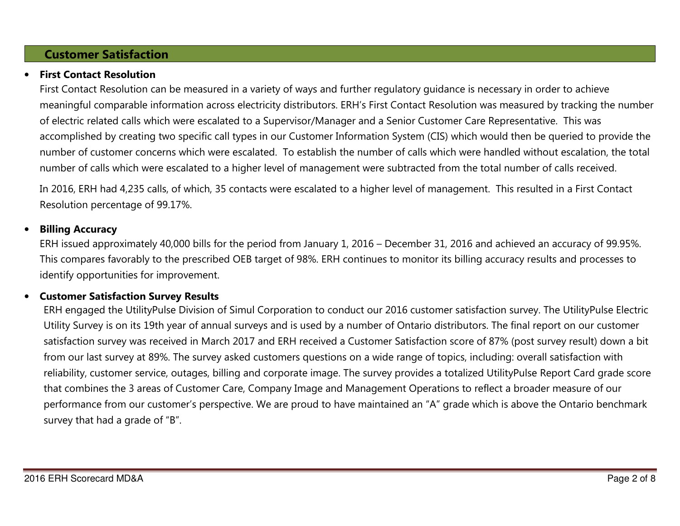## Customer Satisfaction

#### •First Contact Resolution

First Contact Resolution can be measured in a variety of ways and further regulatory guidance is necessary in order to achieve meaningful comparable information across electricity distributors. ERH's First Contact Resolution was measured by tracking the number of electric related calls which were escalated to a Supervisor/Manager and a Senior Customer Care Representative. This was accomplished by creating two specific call types in our Customer Information System (CIS) which would then be queried to provide the number of customer concerns which were escalated. To establish the number of calls which were handled without escalation, the total number of calls which were escalated to a higher level of management were subtracted from the total number of calls received.

In 2016, ERH had 4,235 calls, of which, 35 contacts were escalated to a higher level of management. This resulted in a First Contact Resolution percentage of 99.17%.

#### •Billing Accuracy

ERH issued approximately 40,000 bills for the period from January 1, 2016 – December 31, 2016 and achieved an accuracy of 99.95%. This compares favorably to the prescribed OEB target of 98%. ERH continues to monitor its billing accuracy results and processes to identify opportunities for improvement.

#### •Customer Satisfaction Survey Results

ERH engaged the UtilityPulse Division of Simul Corporation to conduct our 2016 customer satisfaction survey. The UtilityPulse Electric Utility Survey is on its 19th year of annual surveys and is used by a number of Ontario distributors. The final report on our customer satisfaction survey was received in March 2017 and ERH received a Customer Satisfaction score of 87% (post survey result) down a bit from our last survey at 89%. The survey asked customers questions on a wide range of topics, including: overall satisfaction with reliability, customer service, outages, billing and corporate image. The survey provides a totalized UtilityPulse Report Card grade score that combines the 3 areas of Customer Care, Company Image and Management Operations to reflect a broader measure of our performance from our customer's perspective. We are proud to have maintained an "A" grade which is above the Ontario benchmark survey that had a grade of "B".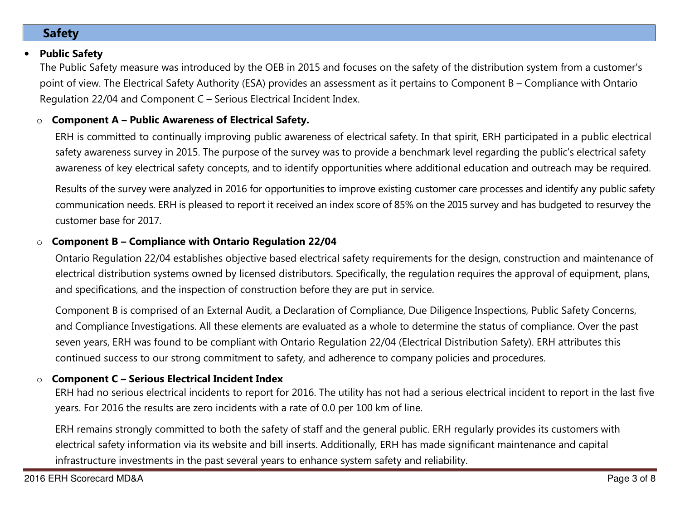# Safety

#### •Public Safety

The Public Safety measure was introduced by the OEB in 2015 and focuses on the safety of the distribution system from a customer's point of view. The Electrical Safety Authority (ESA) provides an assessment as it pertains to Component B – Compliance with Ontario Regulation 22/04 and Component C – Serious Electrical Incident Index.

#### oComponent A – Public Awareness of Electrical Safety.

ERH is committed to continually improving public awareness of electrical safety. In that spirit, ERH participated in a public electrical safety awareness survey in 2015. The purpose of the survey was to provide a benchmark level regarding the public's electrical safety awareness of key electrical safety concepts, and to identify opportunities where additional education and outreach may be required.

Results of the survey were analyzed in 2016 for opportunities to improve existing customer care processes and identify any public safety communication needs. ERH is pleased to report it received an index score of 85% on the 2015 survey and has budgeted to resurvey the customer base for 2017.

#### oComponent B – Compliance with Ontario Regulation 22/04

Ontario Regulation 22/04 establishes objective based electrical safety requirements for the design, construction and maintenance of electrical distribution systems owned by licensed distributors. Specifically, the regulation requires the approval of equipment, plans, and specifications, and the inspection of construction before they are put in service.

Component B is comprised of an External Audit, a Declaration of Compliance, Due Diligence Inspections, Public Safety Concerns, and Compliance Investigations. All these elements are evaluated as a whole to determine the status of compliance. Over the past seven years, ERH was found to be compliant with Ontario Regulation 22/04 (Electrical Distribution Safety). ERH attributes this continued success to our strong commitment to safety, and adherence to company policies and procedures.

#### oComponent C – Serious Electrical Incident Index

ERH had no serious electrical incidents to report for 2016. The utility has not had a serious electrical incident to report in the last five years. For 2016 the results are zero incidents with a rate of 0.0 per 100 km of line.

ERH remains strongly committed to both the safety of staff and the general public. ERH regularly provides its customers with electrical safety information via its website and bill inserts. Additionally, ERH has made significant maintenance and capital infrastructure investments in the past several years to enhance system safety and reliability.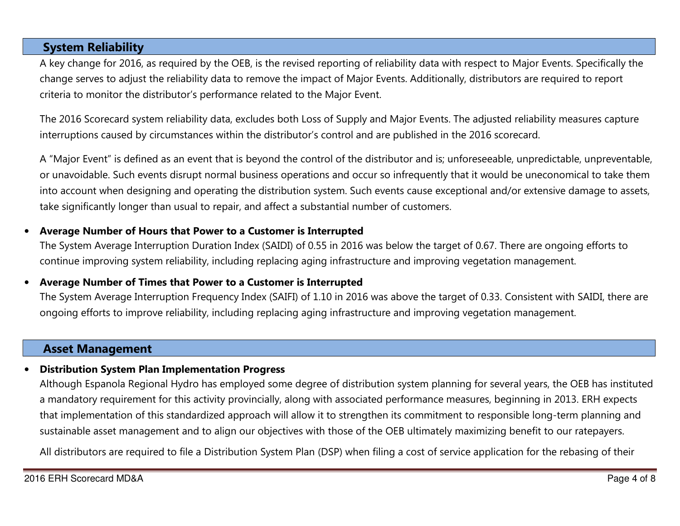### System Reliability

A key change for 2016, as required by the OEB, is the revised reporting of reliability data with respect to Major Events. Specifically the change serves to adjust the reliability data to remove the impact of Major Events. Additionally, distributors are required to report criteria to monitor the distributor's performance related to the Major Event.

The 2016 Scorecard system reliability data, excludes both Loss of Supply and Major Events. The adjusted reliability measures capture interruptions caused by circumstances within the distributor's control and are published in the 2016 scorecard.

A "Major Event" is defined as an event that is beyond the control of the distributor and is; unforeseeable, unpredictable, unpreventable, or unavoidable. Such events disrupt normal business operations and occur so infrequently that it would be uneconomical to take them into account when designing and operating the distribution system. Such events cause exceptional and/or extensive damage to assets, take significantly longer than usual to repair, and affect a substantial number of customers.

#### •Average Number of Hours that Power to a Customer is Interrupted

The System Average Interruption Duration Index (SAIDI) of 0.55 in 2016 was below the target of 0.67. There are ongoing efforts to continue improving system reliability, including replacing aging infrastructure and improving vegetation management.

#### •Average Number of Times that Power to a Customer is Interrupted

The System Average Interruption Frequency Index (SAIFI) of 1.10 in 2016 was above the target of 0.33. Consistent with SAIDI, there are ongoing efforts to improve reliability, including replacing aging infrastructure and improving vegetation management.

### Asset Management

#### •Distribution System Plan Implementation Progress

Although Espanola Regional Hydro has employed some degree of distribution system planning for several years, the OEB has instituted a mandatory requirement for this activity provincially, along with associated performance measures, beginning in 2013. ERH expects that implementation of this standardized approach will allow it to strengthen its commitment to responsible long-term planning and sustainable asset management and to align our objectives with those of the OEB ultimately maximizing benefit to our ratepayers.

All distributors are required to file a Distribution System Plan (DSP) when filing a cost of service application for the rebasing of their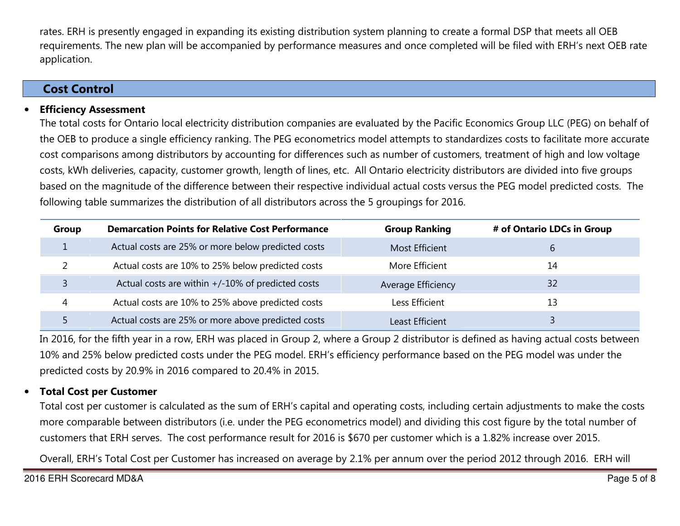rates. ERH is presently engaged in expanding its existing distribution system planning to create a formal DSP that meets all OEB requirements. The new plan will be accompanied by performance measures and once completed will be filed with ERH's next OEB rate application.

### Cost Control

#### •Efficiency Assessment

The total costs for Ontario local electricity distribution companies are evaluated by the Pacific Economics Group LLC (PEG) on behalf of the OEB to produce a single efficiency ranking. The PEG econometrics model attempts to standardizes costs to facilitate more accurate cost comparisons among distributors by accounting for differences such as number of customers, treatment of high and low voltage costs, kWh deliveries, capacity, customer growth, length of lines, etc. All Ontario electricity distributors are divided into five groups based on the magnitude of the difference between their respective individual actual costs versus the PEG model predicted costs. The following table summarizes the distribution of all distributors across the 5 groupings for 2016.

| Group | <b>Demarcation Points for Relative Cost Performance</b> | <b>Group Ranking</b>  | # of Ontario LDCs in Group |
|-------|---------------------------------------------------------|-----------------------|----------------------------|
|       | Actual costs are 25% or more below predicted costs      | <b>Most Efficient</b> | 6                          |
|       | Actual costs are 10% to 25% below predicted costs       | More Efficient        | 14                         |
|       | Actual costs are within +/-10% of predicted costs       | Average Efficiency    | 32                         |
| 4     | Actual costs are 10% to 25% above predicted costs       | Less Efficient        | 13                         |
|       | Actual costs are 25% or more above predicted costs      | Least Efficient       |                            |

In 2016, for the fifth year in a row, ERH was placed in Group 2, where a Group 2 distributor is defined as having actual costs between 10% and 25% below predicted costs under the PEG model. ERH's efficiency performance based on the PEG model was under the predicted costs by 20.9% in 2016 compared to 20.4% in 2015.

#### •Total Cost per Customer

Total cost per customer is calculated as the sum of ERH's capital and operating costs, including certain adjustments to make the costs more comparable between distributors (i.e. under the PEG econometrics model) and dividing this cost figure by the total number of customers that ERH serves. The cost performance result for 2016 is \$670 per customer which is a 1.82% increase over 2015.

Overall, ERH's Total Cost per Customer has increased on average by 2.1% per annum over the period 2012 through 2016. ERH will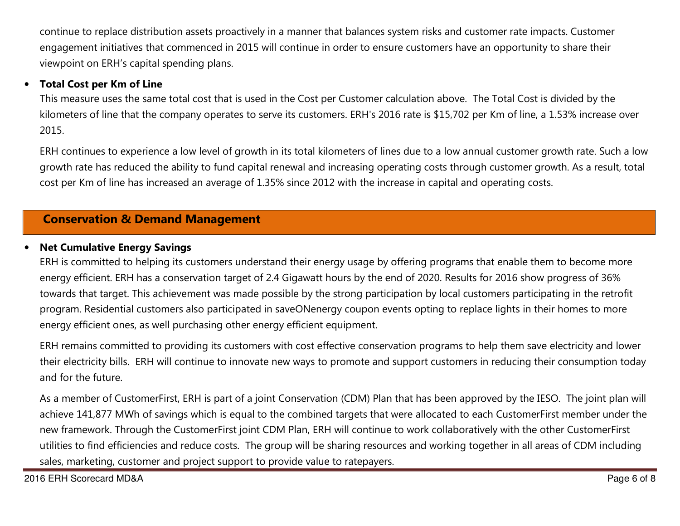continue to replace distribution assets proactively in a manner that balances system risks and customer rate impacts. Customer engagement initiatives that commenced in 2015 will continue in order to ensure customers have an opportunity to share their viewpoint on ERH's capital spending plans.

#### •Total Cost per Km of Line

This measure uses the same total cost that is used in the Cost per Customer calculation above. The Total Cost is divided by the kilometers of line that the company operates to serve its customers. ERH's 2016 rate is \$15,702 per Km of line, a 1.53% increase over 2015.

ERH continues to experience a low level of growth in its total kilometers of lines due to a low annual customer growth rate. Such a low growth rate has reduced the ability to fund capital renewal and increasing operating costs through customer growth. As a result, total cost per Km of line has increased an average of 1.35% since 2012 with the increase in capital and operating costs.

### Conservation & Demand Management

#### •Net Cumulative Energy Savings

ERH is committed to helping its customers understand their energy usage by offering programs that enable them to become more energy efficient. ERH has a conservation target of 2.4 Gigawatt hours by the end of 2020. Results for 2016 show progress of 36% towards that target. This achievement was made possible by the strong participation by local customers participating in the retrofit program. Residential customers also participated in saveONenergy coupon events opting to replace lights in their homes to more energy efficient ones, as well purchasing other energy efficient equipment.

ERH remains committed to providing its customers with cost effective conservation programs to help them save electricity and lower their electricity bills. ERH will continue to innovate new ways to promote and support customers in reducing their consumption today and for the future.

As a member of CustomerFirst, ERH is part of a joint Conservation (CDM) Plan that has been approved by the IESO. The joint plan will achieve 141,877 MWh of savings which is equal to the combined targets that were allocated to each CustomerFirst member under the new framework. Through the CustomerFirst joint CDM Plan, ERH will continue to work collaboratively with the other CustomerFirst utilities to find efficiencies and reduce costs. The group will be sharing resources and working together in all areas of CDM including sales, marketing, customer and project support to provide value to ratepayers.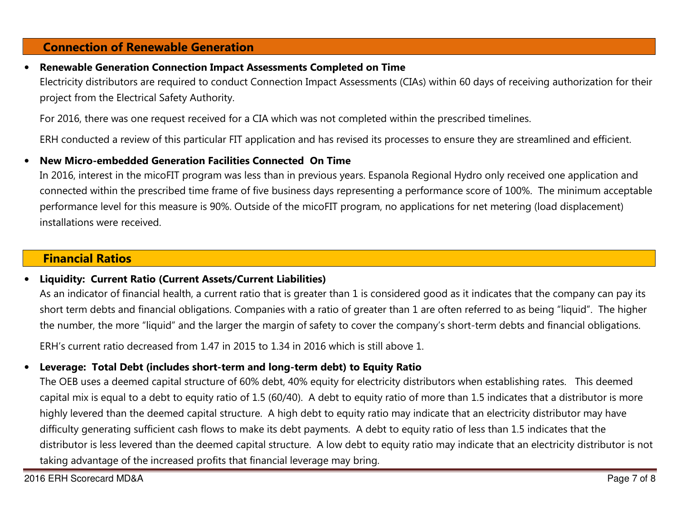### Connection of Renewable Generation

#### •Renewable Generation Connection Impact Assessments Completed on Time

Electricity distributors are required to conduct Connection Impact Assessments (CIAs) within 60 days of receiving authorization for their project from the Electrical Safety Authority.

For 2016, there was one request received for a CIA which was not completed within the prescribed timelines.

ERH conducted a review of this particular FIT application and has revised its processes to ensure they are streamlined and efficient.

#### •New Micro-embedded Generation Facilities Connected On Time

In 2016, interest in the micoFIT program was less than in previous years. Espanola Regional Hydro only received one application and connected within the prescribed time frame of five business days representing a performance score of 100%. The minimum acceptable performance level for this measure is 90%. Outside of the micoFIT program, no applications for net metering (load displacement) installations were received.

### Financial Ratios

#### •Liquidity: Current Ratio (Current Assets/Current Liabilities)

As an indicator of financial health, a current ratio that is greater than 1 is considered good as it indicates that the company can pay its short term debts and financial obligations. Companies with a ratio of greater than 1 are often referred to as being "liquid". The higher the number, the more "liquid" and the larger the margin of safety to cover the company's short-term debts and financial obligations.

ERH's current ratio decreased from 1.47 in 2015 to 1.34 in 2016 which is still above 1.

#### •Leverage: Total Debt (includes short-term and long-term debt) to Equity Ratio

The OEB uses a deemed capital structure of 60% debt, 40% equity for electricity distributors when establishing rates. This deemed capital mix is equal to a debt to equity ratio of 1.5 (60/40). A debt to equity ratio of more than 1.5 indicates that a distributor is more highly levered than the deemed capital structure. A high debt to equity ratio may indicate that an electricity distributor may have difficulty generating sufficient cash flows to make its debt payments. A debt to equity ratio of less than 1.5 indicates that the distributor is less levered than the deemed capital structure. A low debt to equity ratio may indicate that an electricity distributor is not taking advantage of the increased profits that financial leverage may bring.